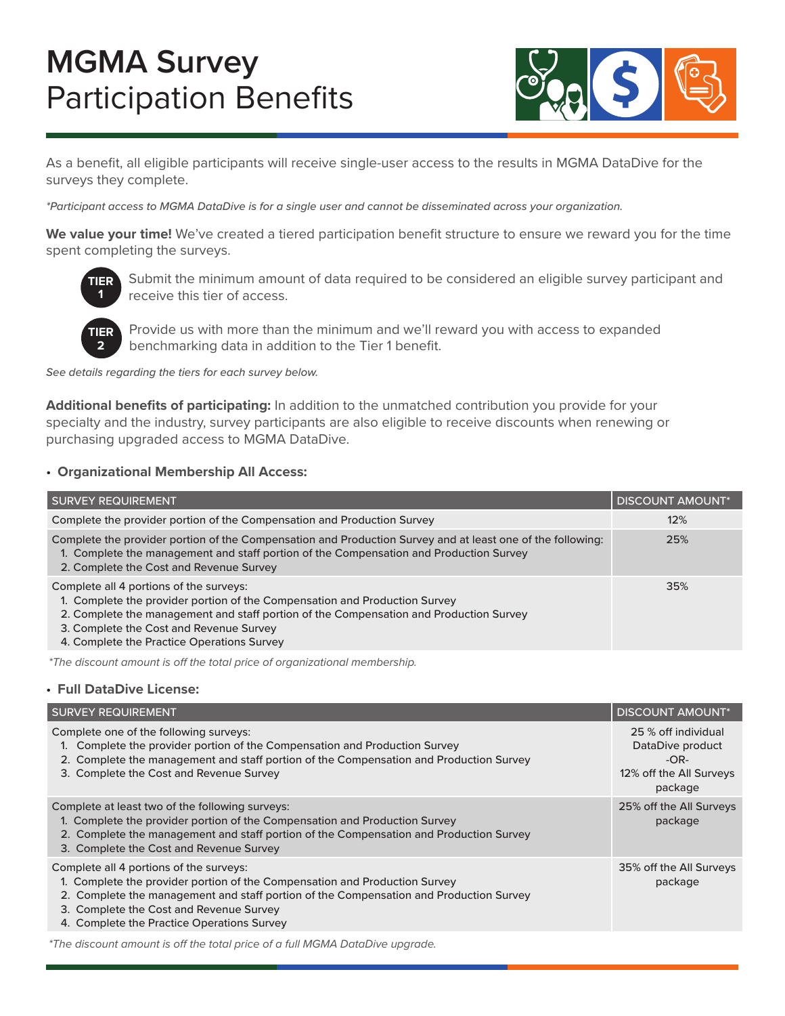

As a benefit, all eligible participants will receive single-user access to the results in MGMA DataDive for the surveys they complete.

*\*Participant access to MGMA DataDive is for a single user and cannot be disseminated across your organization.*

**We value your time!** We've created a tiered participation benefit structure to ensure we reward you for the time spent completing the surveys.



Submit the minimum amount of data required to be considered an eligible survey participant and receive this tier of access.



 Provide us with more than the minimum and we'll reward you with access to expanded benchmarking data in addition to the Tier 1 benefit.

*See details regarding the tiers for each survey below.* 

**Additional benefits of participating:** In addition to the unmatched contribution you provide for your specialty and the industry, survey participants are also eligible to receive discounts when renewing or purchasing upgraded access to MGMA DataDive.

#### • **Organizational Membership All Access:**

| <b>SURVEY REQUIREMENT</b>                                                                                                                                                                                                                                                                                | <b>DISCOUNT AMOUNT*</b> |
|----------------------------------------------------------------------------------------------------------------------------------------------------------------------------------------------------------------------------------------------------------------------------------------------------------|-------------------------|
| Complete the provider portion of the Compensation and Production Survey                                                                                                                                                                                                                                  | 12%                     |
| Complete the provider portion of the Compensation and Production Survey and at least one of the following:<br>1. Complete the management and staff portion of the Compensation and Production Survey<br>2. Complete the Cost and Revenue Survey                                                          | 25%                     |
| Complete all 4 portions of the surveys:<br>1. Complete the provider portion of the Compensation and Production Survey<br>2. Complete the management and staff portion of the Compensation and Production Survey<br>3. Complete the Cost and Revenue Survey<br>4. Complete the Practice Operations Survey | 35%                     |

*\*The discount amount is off the total price of organizational membership.*

#### • **Full DataDive License:**

| <b>SURVEY REQUIREMENT</b>                                                                                                                                                                                                                                                                                | <b>DISCOUNT AMOUNT*</b>                                                                 |
|----------------------------------------------------------------------------------------------------------------------------------------------------------------------------------------------------------------------------------------------------------------------------------------------------------|-----------------------------------------------------------------------------------------|
| Complete one of the following surveys:<br>1. Complete the provider portion of the Compensation and Production Survey<br>2. Complete the management and staff portion of the Compensation and Production Survey<br>3. Complete the Cost and Revenue Survey                                                | 25 % off individual<br>DataDive product<br>$-OR-$<br>12% off the All Surveys<br>package |
| Complete at least two of the following surveys:<br>1. Complete the provider portion of the Compensation and Production Survey<br>2. Complete the management and staff portion of the Compensation and Production Survey<br>3. Complete the Cost and Revenue Survey                                       | 25% off the All Surveys<br>package                                                      |
| Complete all 4 portions of the surveys:<br>1. Complete the provider portion of the Compensation and Production Survey<br>2. Complete the management and staff portion of the Compensation and Production Survey<br>3. Complete the Cost and Revenue Survey<br>4. Complete the Practice Operations Survey | 35% off the All Surveys<br>package                                                      |
|                                                                                                                                                                                                                                                                                                          |                                                                                         |

*\*The discount amount is off the total price of a full MGMA DataDive upgrade.*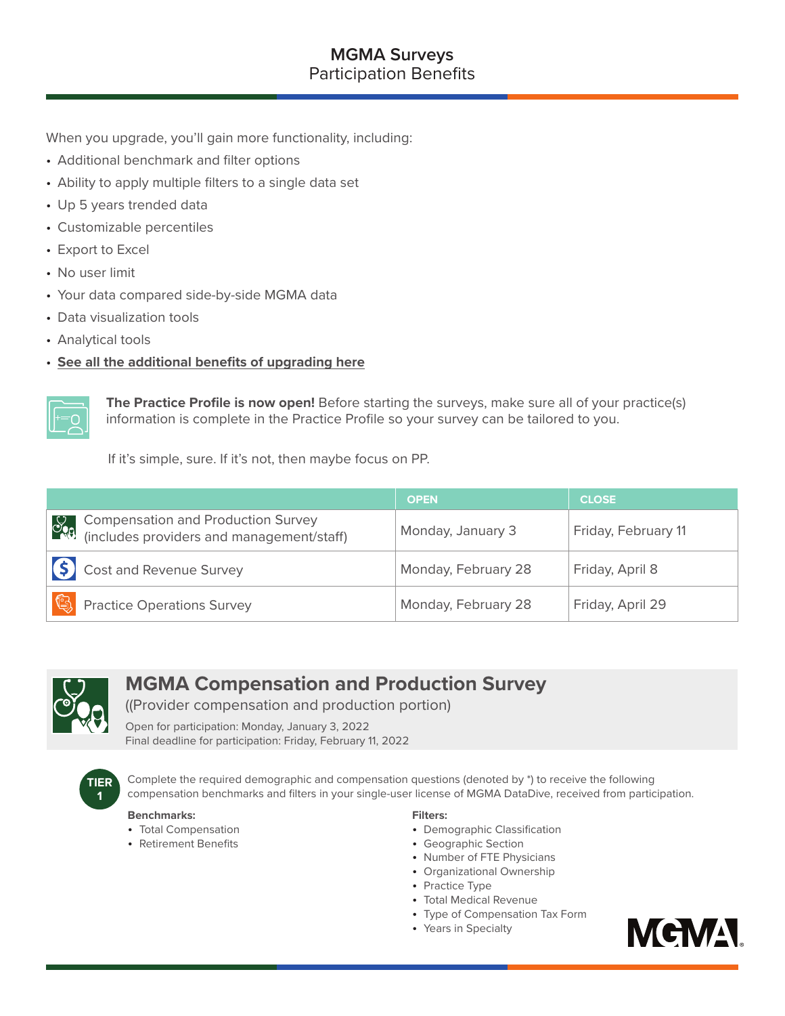When you upgrade, you'll gain more functionality, including:

- Additional benchmark and filter options
- Ability to apply multiple filters to a single data set
- Up 5 years trended data
- Customizable percentiles
- Export to Excel
- No user limit
- Your data compared side-by-side MGMA data
- Data visualization tools
- Analytical tools
- **[See all the additional benefits of upgrading here](https://www.mgma.com/data/landing-pages/mgma-datadive-and-survey-participation-benefits)**



**The Practice Profile is now open!** Before starting the surveys, make sure all of your practice(s) information is complete in the Practice Profile so your survey can be tailored to you.

If it's simple, sure. If it's not, then maybe focus on PP.

|                                                                                                            | <b>OPEN</b>         | <b>CLOSE</b>        |
|------------------------------------------------------------------------------------------------------------|---------------------|---------------------|
| Compensation and Production Survey<br>(includes providers and management/staff)<br>$\partial_{\mathbf{Q}}$ | Monday, January 3   | Friday, February 11 |
| <b>S</b> Cost and Revenue Survey                                                                           | Monday, February 28 | Friday, April 8     |
| (9<br><b>Practice Operations Survey</b>                                                                    | Monday, February 28 | Friday, April 29    |



# **MGMA Compensation and Production Survey**

((Provider compensation and production portion)

Open for participation: Monday, January 3, 2022 Final deadline for participation: Friday, February 11, 2022



Complete the required demographic and compensation questions (denoted by \*) to receive the following compensation benchmarks and filters in your single-user license of MGMA DataDive, received from participation.

#### **Benchmarks:**

- Total Compensation
- Retirement Benefits

#### **Filters:**

- Demographic Classification
- Geographic Section
- Number of FTE Physicians
- Organizational Ownership
- Practice Type
- Total Medical Revenue
- Type of Compensation Tax Form
- Years in Specialty

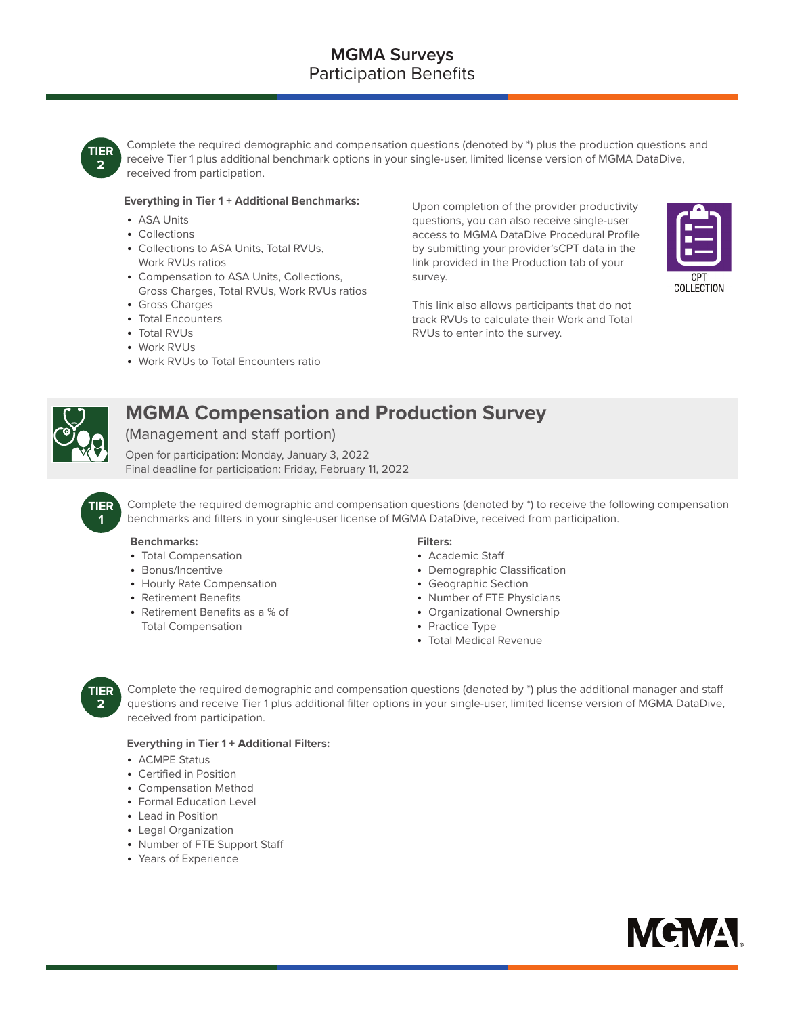

Complete the required demographic and compensation questions (denoted by \*) plus the production questions and receive Tier 1 plus additional benchmark options in your single-user, limited license version of MGMA DataDive, received from participation.

#### **Everything in Tier 1 + Additional Benchmarks:**

- ASA Units
- Collections
- Collections to ASA Units, Total RVUs, Work RVUs ratios
- Compensation to ASA Units, Collections, Gross Charges, Total RVUs, Work RVUs ratios
- Gross Charges
- Total Encounters
- Total RVUs
- Work RVUs
- Work RVUs to Total Encounters ratio

Upon completion of the provider productivity questions, you can also receive single-user access to MGMA DataDive Procedural Profile by submitting your provider'sCPT data in the link provided in the Production tab of your survey.



This link also allows participants that do not track RVUs to calculate their Work and Total RVUs to enter into the survey.



**1**

# **MGMA Compensation and Production Survey**

(Management and staff portion)

Open for participation: Monday, January 3, 2022 Final deadline for participation: Friday, February 11, 2022

**TIER** Complete the required demographic and compensation questions (denoted by \*) to receive the following compensation benchmarks and filters in your single-user license of MGMA DataDive, received from participation.

#### **Benchmarks:**

- Total Compensation
- Bonus/Incentive
- Hourly Rate Compensation
- Retirement Benefits
- Retirement Benefits as a % of Total Compensation

#### **Filters:**

- Academic Staff
- Demographic Classification
- Geographic Section
- Number of FTE Physicians
- Organizational Ownership
- Practice Type
- Total Medical Revenue



 Complete the required demographic and compensation questions (denoted by \*) plus the additional manager and staff questions and receive Tier 1 plus additional filter options in your single-user, limited license version of MGMA DataDive, received from participation.

#### **Everything in Tier 1 + Additional Filters:**

- ACMPE Status
- Certified in Position
- Compensation Method
- Formal Education Level
- Lead in Position
- Legal Organization
- Number of FTE Support Staff
- Years of Experience

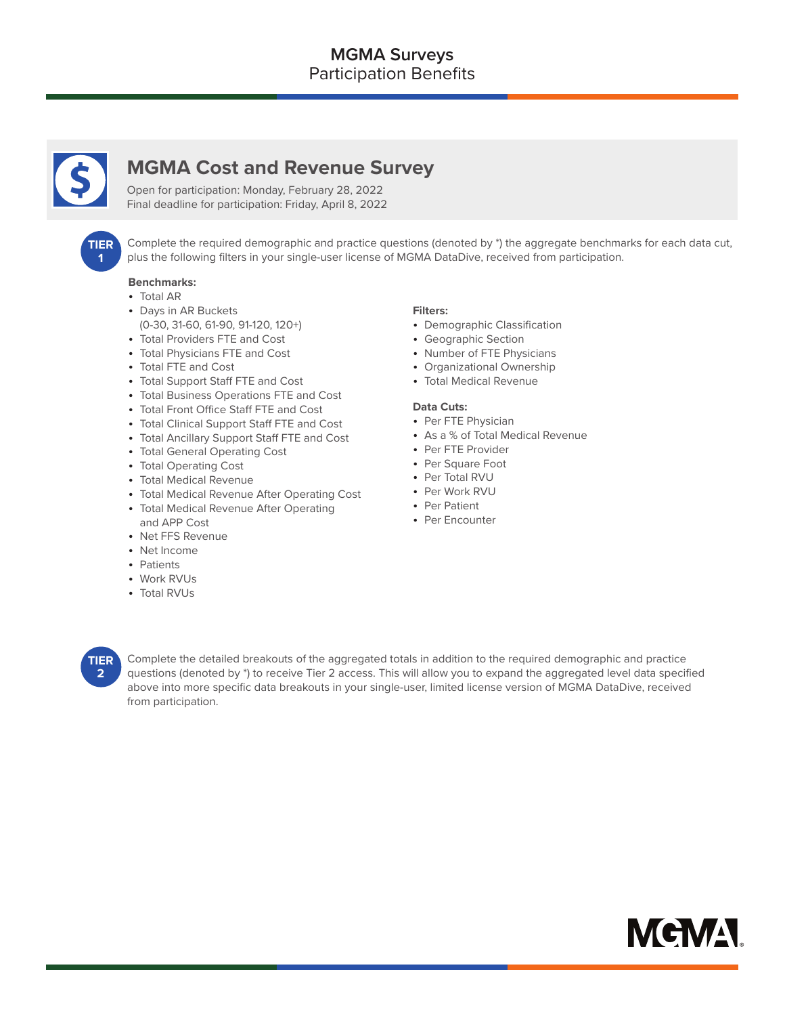

# **MGMA Cost and Revenue Survey**

Open for participation: Monday, February 28, 2022 Final deadline for participation: Friday, April 8, 2022



 Complete the required demographic and practice questions (denoted by \*) the aggregate benchmarks for each data cut, plus the following filters in your single-user license of MGMA DataDive, received from participation.

#### **Benchmarks:**

- Total AR
- Days in AR Buckets (0-30, 31-60, 61-90, 91-120, 120+)
- Total Providers FTE and Cost
- Total Physicians FTE and Cost
- Total FTE and Cost
- Total Support Staff FTE and Cost
- Total Business Operations FTE and Cost
- Total Front Office Staff FTE and Cost
- Total Clinical Support Staff FTE and Cost
- Total Ancillary Support Staff FTE and Cost
- Total General Operating Cost
- Total Operating Cost
- Total Medical Revenue
- Total Medical Revenue After Operating Cost
- Total Medical Revenue After Operating and APP Cost
- Net FFS Revenue
- Net Income
- Patients
- Work RVUs
- Total RVUs

#### **Filters:**

- Demographic Classification
- Geographic Section
- Number of FTE Physicians
- Organizational Ownership
- Total Medical Revenue

#### **Data Cuts:**

- Per FTE Physician
- As a % of Total Medical Revenue
- Per FTE Provider
- Per Square Foot
- Per Total RVU
- Per Work RVU
- Per Patient
- Per Encounter



 Complete the detailed breakouts of the aggregated totals in addition to the required demographic and practice questions (denoted by \*) to receive Tier 2 access. This will allow you to expand the aggregated level data specified above into more specific data breakouts in your single-user, limited license version of MGMA DataDive, received from participation.